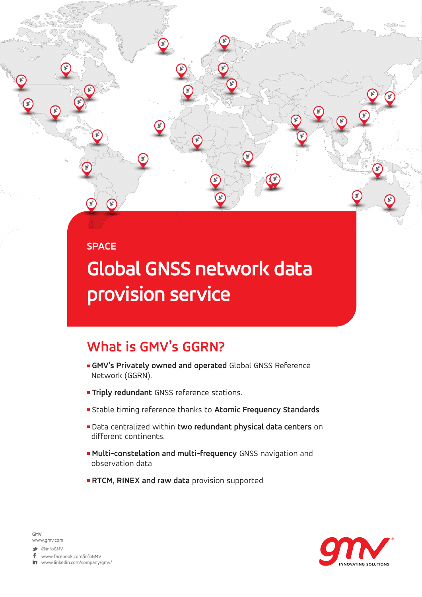#### **SPACE**

(∗`

# **Global GNSS network data provision service**

### **What is GMV's GGRN?**

- <sup>n</sup> **GMV's Privately owned and operated** Global GNSS Reference Network (GGRN).
- **Triply redundant** GNSS reference stations.
- <sup>n</sup> Stable timing reference thanks to **Atomic Frequency Standards**
- <sup>n</sup> Data centralized within **two redundant physical data centers** on different continents.
- <sup>n</sup> **Multi-constelation and multi-frequency** GNSS navigation and observation data
- **RTCM, RINEX and raw data** provision supported



**GMV** www.gmv.com

@infoGMV

www.facebook.com/infoGMV

 $\mathop{{\rm Im}\hskip 1pt}\nolimits$  www.linkedin.com/company/gmv/